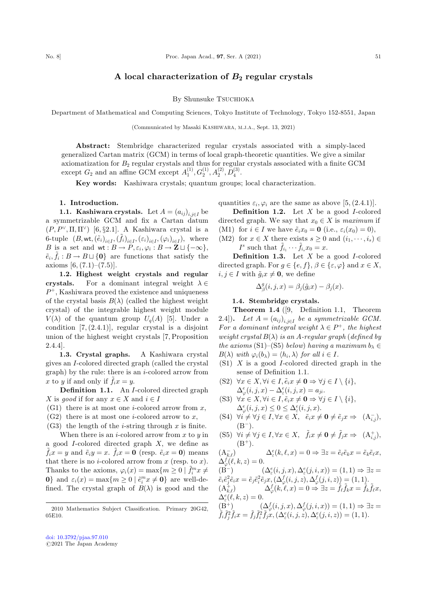# A local characterization of  $B_2$  regular crystals

## By Shunsuke TSUCHIOKA

Department of Mathematical and Computing Sciences, Tokyo Institute of Technology, Tokyo 152-8551, Japan

(Communicated by Masaki KASHIWARA, M.J.A., Sept. 13, 2021)

Abstract: Stembridge characterized regular crystals associated with a simply-laced generalized Cartan matrix (GCM) in terms of local graph-theoretic quantities. We give a similar axiomatization for  $B_2$  regular crystals and thus for regular crystals associated with a finite GCM except  $G_2$  and an affine GCM except  $A_1^{(1)}, G_2^{(1)}, A_2^{(2)}, D_4^{(3)}$ .

Key words: Kashiwara crystals; quantum groups; local characterization.

## 1. Introduction.

1.1. Kashiwara crystals. Let  $A = (a_{ij})_{i,j \in I}$  be a symmetrizable GCM and fix a Cartan datum  $(P, P^{\vee}, \Pi, \Pi^{\vee})$  [6, §2.1]. A Kashiwara crystal is a 6-tuple  $(B, \mathsf{wt}, \left(\tilde{e}_i\right)_{i \in I}, \left(\tilde{f}_i\right)_{i \in I}, \left(\varepsilon_i\right)_{i \in I}, \left(\varphi_i\right)_{i \in I}), \text{ where}$ B is a set and  $\mathsf{wt}: B \to P, \varepsilon_i, \varphi_i : B \to \mathbf{Z} \sqcup \{-\infty\},\$  $\tilde{e}_i, \tilde{f}_i : B \to B \sqcup \{\mathbf{0}\}\$ are functions that satisfy the axioms  $[6, (7.1)–(7.5)].$ 

1.2. Highest weight crystals and regular crystals. For a dominant integral weight  $\lambda \in$  $P^+$ , Kashiwara proved the existence and uniqueness of the crystal basis  $B(\lambda)$  (called the highest weight crystal) of the integrable highest weight module  $V(\lambda)$  of the quantum group  $U_q(A)$  [5]. Under a condition  $[7, (2.4.1)]$ , regular crystal is a disjoint union of the highest weight crystals [7, Proposition 2.4.4].

1.3. Crystal graphs. A Kashiwara crystal gives an I-colored directed graph (called the crystal  $graph)$  by the rule: there is an *i*-colored arrow from x to y if and only if  $\tilde{f}_i x = y$ .

Definition 1.1. An I-colored directed graph X is good if for any  $x \in X$  and  $i \in I$ 

- $(G1)$  there is at most one *i*-colored arrow from x,
- $(G2)$  there is at most one *i*-colored arrow to x,

 $(G3)$  the length of the *i*-string through x is finite.

When there is an *i*-colored arrow from  $x$  to  $y$  in a good *I*-colored directed graph *X*, we define as  $\tilde{f}_i x = y$  and  $\tilde{e}_i y = x$ .  $\tilde{f}_i x = 0$  (resp.  $\tilde{e}_i x = 0$ ) means that there is no *i*-colored arrow from  $x$  (resp. to  $x$ ). Thanks to the axioms,  $\varphi_i(x) = \max\{m \geq 0 \mid \tilde{f}_i^m x \neq 0\}$ **0**} and  $\varepsilon_i(x) = \max\{m \ge 0 \mid \tilde{e}_i^m x \ne \mathbf{0}\}\)$  are well-defined. The crystal graph of  $B(\lambda)$  is good and the

quantities  $\varepsilon_i$ ,  $\varphi_i$  are the same as above [5, (2.4.1)].

**Definition 1.2.** Let  $X$  be a good  $I$ -colored directed graph. We say that  $x_0 \in X$  is maximum if

(M1) for  $i \in I$  we have  $\tilde{e}_i x_0 = \mathbf{0}$  (i.e.,  $\varepsilon_i(x_0) = 0$ ),

(M2) for  $x \in X$  there exists  $s \geq 0$  and  $(i_1, \dots, i_s) \in$  $I^s$  such that  $\tilde{f}_{i_1} \cdots \tilde{f}_{i_s} x_0 = x.$ 

**Definition 1.3.** Let  $X$  be a good I-colored directed graph. For  $q \in \{e, f\}, \beta \in \{\varepsilon, \varphi\}$  and  $x \in X$ ,  $i, j \in I$  with  $\tilde{g}_i x \neq \mathbf{0}$ , we define

$$
\Delta_{\beta}^{g}(i,j,x) = \beta_{j}(\tilde{g}_{i}x) - \beta_{j}(x).
$$

## 1.4. Stembridge crystals.

Theorem 1.4 ([9, Definition 1.1, Theorem 2.4]). Let  $A = (a_{ij})_{i,j \in I}$  be a symmetrizable GCM. For a dominant integral weight  $\lambda \in P^+$ , the highest weight crystal  $B(\lambda)$  is an A-regular graph (defined by the axioms (S1)–(S5) below) having a maximum  $b_{\lambda} \in$  $B(\lambda)$  with  $\varphi_i(b_\lambda) = \langle h_i, \lambda \rangle$  for all  $i \in I$ .

(S1) X is a good I-colored directed graph in the sense of Definition 1.1.

(S2) 
$$
\forall x \in X, \forall i \in I, \tilde{e}_i x \neq \mathbf{0} \Rightarrow \forall j \in I \setminus \{i\},
$$
  
\n
$$
\Delta_{\varphi}^e(i,j,x) - \Delta_{\varepsilon}^e(i,j,x) = a_{ji}.
$$

- (S3)  $\forall x \in X, \forall i \in I, \tilde{e}_i x \neq \mathbf{0} \Rightarrow \forall j \in I \setminus \{i\},\$  $\Delta_{\varphi}^e(i,j,x) \leq 0 \leq \Delta_{\varepsilon}^e(i,j,x).$
- (S4)  $\forall i \neq \forall j \in I, \forall x \in X, \ \ \tilde{e}_ix \neq \mathbf{0} \neq \tilde{e}_jx \Rightarrow \ (A_{i,j}^{-}),$  $(B^-)$ .

(S5) 
$$
\forall i \neq \forall j \in I, \forall x \in X, \quad \tilde{f}_i x \neq \mathbf{0} \neq \tilde{f}_j x \Rightarrow (A^+_{i,j}),
$$
  
(B<sup>+</sup>).

 $(A_{k,\ell}^-)$   $\Delta_{\varepsilon}^e$  $\Delta_{\epsilon}^{\epsilon}(k,\ell,x) = 0 \Rightarrow \exists z = \tilde{e}_{\ell} \tilde{e}_{k} x = \tilde{e}_{k} \tilde{e}_{\ell} x,$  $\Delta^f_\varphi(\ell,k,z) = 0.$ 

 $(\dot{B}^-)$ )  $(\Delta_{\varepsilon}^{e}(i, j, x), \Delta_{\varepsilon}^{e}(j, i, x)) = (1, 1) \Rightarrow \exists z =$  $\tilde{e}_i \tilde{e}_j^2 \tilde{e}_i x = \tilde{e}_j \tilde{e}_i^2 \tilde{e}_j x, (\Delta^f_\varphi(i,j,z), \Delta^f_\varphi(j,i,z)) = (1,1).$  $(\Lambda_{k,\ell}^{\dagger}) \qquad \qquad \Delta_{\varphi}^f(k,\ell,x) = 0 \Rightarrow \exists z = \tilde{f}_{\ell}\tilde{f}_k x = \tilde{f}_k\tilde{f}_{\ell}x,$  $\Delta_{\varepsilon}^e(\ell,k,z) = 0.$ 

$$
\begin{array}{l} \n(\mathbf{B}^+) \\
\tilde{f}_i \tilde{f}_j^2 \tilde{f}_i x = \tilde{f}_j \tilde{f}_i^2 \tilde{f}_j x, (\Delta^e_{\varepsilon}(i,j,z), \Delta^f_{\varepsilon}(j,i,z)) = (1,1) \Rightarrow \exists z = \\
\tilde{f}_i \tilde{f}_j^2 \tilde{f}_i x = \tilde{f}_j \tilde{f}_i^2 \tilde{f}_j x, (\Delta^e_{\varepsilon}(i,j,z), \Delta^e_{\varepsilon}(j,i,z)) = (1,1).\n\end{array}
$$

<sup>2010</sup> Mathematics Subject Classification. Primary 20G42, 05E10.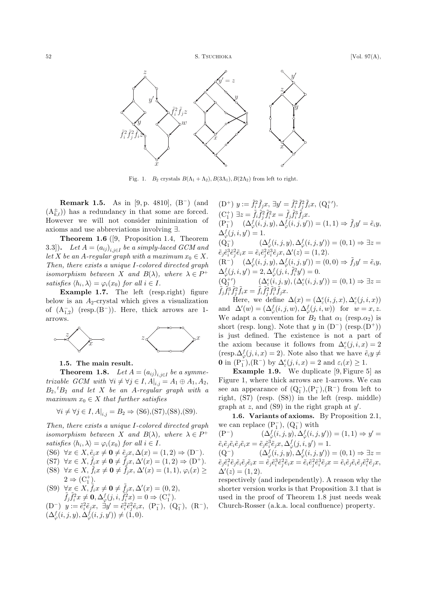

Fig. 1.  $B_2$  crystals  $B(\Lambda_1 + \Lambda_2), B(3\Lambda_1), B(2\Lambda_2)$  from left to right.

**Remark 1.5.** As in [9, p. 4810],  $(B^{-})$  (and  $(A_{k,\ell}^{\pm})$  has a redundancy in that some are forced. However we will not consider minimization of axioms and use abbreviations involving  $\exists$ .

Theorem 1.6 ([9, Proposition 1.4, Theorem 3.3]). Let  $A = (a_{ij})_{i,i\in I}$  be a simply-laced GCM and let X be an A-regular graph with a maximum  $x_0 \in X$ . Then, there exists a unique I-colored directed graph isomorphism between X and  $B(\lambda)$ , where  $\lambda \in P^+$ satisfies  $\langle h_i, \lambda \rangle = \varphi_i(x_0)$  for all  $i \in I$ .

Example 1.7. The left (resp.right) figure below is an  $A_2$ -crystal which gives a visualization of  $(A_{1,2}^-)$  (resp. $(B^-)$ ). Here, thick arrows are 1arrows.



# 1.5. The main result.

**Theorem 1.8.** Let  $A = (a_{ij})_{i,i\in I}$  be a symme*trizable GCM with*  $\forall i \neq \forall j \in I, A|_{i,j} = A_1 \oplus A_1, A_2,$  $B_2,{}^tB_2$  and let X be an A-regular graph with a maximum  $x_0 \in X$  that further satisfies

 $\forall i \neq \forall j \in I, A|_{i,j} = B_2 \Rightarrow (S6), (S7), (S8), (S9).$ 

Then, there exists a unique I-colored directed graph isomorphism between X and  $B(\lambda)$ , where  $\lambda \in P^+$ satisfies  $\langle h_i, \lambda \rangle = \varphi_i(x_0)$  for all  $i \in I$ .

(S6)  $\forall x \in X, \tilde{e}_i x \neq \mathbf{0} \neq \tilde{e}_j x, \Delta(x) = (1, 2) \Rightarrow (D^-).$ 

- $(S7) \ \forall x \in X, \tilde{f}_i x \neq \mathbf{0} \neq \tilde{f}_j x, \Delta'(x) = (1, 2) \Rightarrow (\mathbf{D}^+).$
- (S8)  $\forall x \in X, \tilde{f}_i x \neq \mathbf{0} \neq \tilde{f}_j x, \Delta'(x) = (1,1), \varphi_i(x) \geq$  $2 \Rightarrow (C_1^+)_c$
- (S9)  $\forall x \in X, f_ix \neq \mathbf{0} \neq f_jx, \Delta'(x) = (0, 2),$  $\forall x \in X, f_i x \neq \mathbf{0} \neq f_j x, \Delta'(x) = (0, 2),$ <br>  $\tilde{f}_j \tilde{f}_i^2 x \neq \mathbf{0}, \Delta^f_\varphi(j, i, \tilde{f}_i^2 x) = 0 \Rightarrow (\mathbf{C}_1^+).$

 $(D^-)$   $y := \tilde{e}_i^2 \tilde{e}_j x, \ \exists y' = \tilde{e}_i^2 \tilde{e}_j^2 \tilde{e}_i x, \ (P_1^-), \ (Q_1^-), \ (R^-),$  $(\Delta^f_\varphi(i,j,y), \Delta^f_\varphi(i,j,y')) \neq (1,0).$ 

 $(D^+)$   $y := \tilde{f}_i^2 \tilde{f}_j x, \ \exists y' = \tilde{f}_i^2 \tilde{f}_j^2 \tilde{f}_i x, \ (Q_1^{+\prime}).$  $(C_1^+) \ \exists z = \tilde{f}_i \tilde{f}_j^2 \tilde{f}_i^2 x = \tilde{f}_j \tilde{f}_i^3 \tilde{f}_j x.$  $(P_1^-)$   $(\Delta^f_\varphi(i,j,y), \Delta^f_\varphi(i,j,y')) = (1,1) \Rightarrow \tilde{f}_j y' = \tilde{e}_i y,$  $\Delta^f_\varphi(j,i,y')=1.$  $(Q_1^-)$  $\Delta_{\varphi}^{-}(i,j,y), \Delta_{\varphi}^{f}(i,j,y')) = (0,1) \Rightarrow \exists z =$  $\tilde{e}_j \tilde{e}_i^3 \tilde{e}_j^2 \tilde{e}_i x = \tilde{e}_i \tilde{e}_j^2 \tilde{e}_i^3 \tilde{e}_j x, \Delta'(z) = (1, 2).$  $(R^{-}) \quad (\Delta^f_{\varphi}(i,j,y), \Delta^f_{\varphi}(i,j,y')) = (0,0) \Rightarrow \tilde{f}_j y' = \tilde{e}_i y,$  $\Delta^f_\varphi(j, i, y') = 2, \Delta^f_\varphi(j, i, \tilde{f}_i^2 y') = 0.$ 

 $(Q_1^{+\prime}$ )  $(\Delta_{\varepsilon}^{e}(i,j,y),(\Delta_{\varepsilon}^{e}(i,j,y')) = (0,1) \Rightarrow \exists z =$  $\tilde{f}_j \tilde{f}_i^3 \tilde{f}_j^2 \tilde{f}_i x = \tilde{f}_i \tilde{f}_j^2 \tilde{f}_i^3 \tilde{f}_j x.$ 

Here, we define  $\Delta(x) = (\Delta_{\varepsilon}^e(i,j,x), \Delta_{\varepsilon}^e(j,i,x))$ and  $\Delta'(w) = (\Delta^f_\varphi(i,j,w), \Delta^f_\varphi(j,i,w))$  for  $w = x, z$ . We adapt a convention for  $B_2$  that  $\alpha_1$  (resp. $\alpha_2$ ) is short (resp. long). Note that  $y$  in  $(D^-)$  (resp. $(D^+)$ ) is just defined. The existence is not a part of the axiom because it follows from  $\Delta_{\varepsilon}^e(j, i, x) = 2$ (resp. $\Delta_{\varphi}^{f}(j, i, x) = 2$ ). Note also that we have  $\tilde{e}_i y \neq$ **0** in  $(P_1^-), (R^-)$  by  $\Delta_{\varepsilon}^e(j, i, x) = 2$  and  $\varepsilon_i(x) \geq 1$ .

Example 1.9. We duplicate [9, Figure 5] as Figure 1, where thick arrows are 1-arrows. We can see an appearance of  $(Q_1^-), (P_1^-), (R^-)$  from left to right, (S7) (resp. (S8)) in the left (resp. middle) graph at  $z$ , and (S9) in the right graph at  $y'$ .

1.6. Variants of axioms. By Proposition 2.1, we can replace  $(P_1^-)$ ,  $(Q_1^-)$  with

$$
\begin{aligned}\n\left(\mathbf{P}^{-}\right) & \left(\Delta_{\varphi}^{f}(i,j,y), \Delta_{\varphi}^{f}(i,j,y')\right) = (1,1) \Rightarrow y' = \\
\tilde{e}_{i}\tilde{e}_{j}\tilde{e}_{i}\tilde{e}_{j}\tilde{e}_{i}x &= \tilde{e}_{j}\tilde{e}_{i}^{3}\tilde{e}_{j}x, \Delta_{\varphi}^{f}(j,i,y') = 1. \\
\left(\mathbf{Q}^{-}\right) & \left(\Delta_{\varphi}^{f}(i,j,y), \Delta_{\varphi}^{f}(i,j,y')\right) = (0,1) \Rightarrow \exists z = \\
\tilde{e}_{j}\tilde{e}_{i}^{2}\tilde{e}_{j}\tilde{e}_{i}\tilde{e}_{j}\tilde{e}_{i}x &= \tilde{e}_{i}\tilde{e}_{j}^{3}\tilde{e}_{j}^{3}\tilde{e}_{i}x = \tilde{e}_{i}\tilde{e}_{j}^{2}\tilde{e}_{i}^{3}\tilde{e}_{j}x = \tilde{e}_{i}\tilde{e}_{j}\tilde{e}_{i}\tilde{e}_{j}\tilde{e}_{i}^{2}\tilde{e}_{j}x, \\
\Delta'(z) &= (1,2).\n\end{aligned}
$$

respectively (and independently). A reason why the shorter version works is that Proposition 3.1 that is used in the proof of Theorem 1.8 just needs weak Church-Rosser (a.k.a. local confluence) property.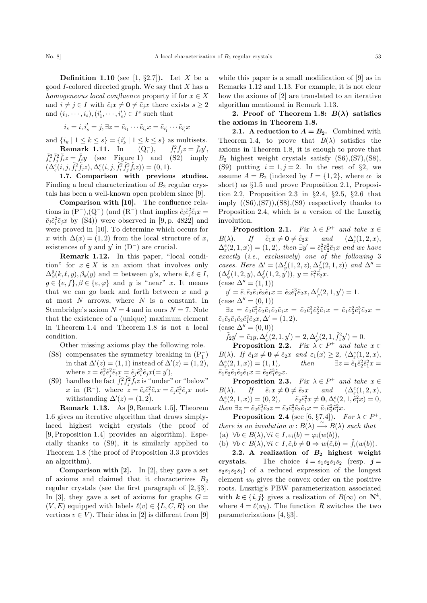**Definition 1.10** (see [1, §2.7]). Let X be a good  $I$ -colored directed graph. We say that  $X$  has a homogeneous local confluence property if for  $x \in X$ and  $i \neq j \in I$  with  $\tilde{e}_i x \neq \mathbf{0} \neq \tilde{e}_j x$  there exists  $s \geq 2$ and  $(i_1, \dots, i_s), (i'_1, \dots, i'_s) \in I^s$  such that

$$
i_s = i, i'_s = j, \exists z = \tilde{e}_{i_1} \cdots \tilde{e}_{i_s} x = \tilde{e}_{i'_1} \cdots \tilde{e}_{i'_s} x
$$

and  $\{i_k \mid 1 \leq k \leq s\} = \{i'_k \mid 1 \leq k \leq s\}$  as multisets. Remark 1.11. In  $\tilde{f}_1^2$ ,  $\tilde{f}_i^2$  $f_i^2 f_j z = f_i y'$ , **Remark 1.11.** In  $(Q_1^-),$   $f_i^2 f_j z = f_i y'$ ,<br>  $\tilde{f}_i^2 \tilde{f}_j^2 \tilde{f}_i z = \tilde{f}_j y$  (see Figure 1) and (S2) imply  $(\Delta_\varepsilon^{e'}(i,j,\tilde{f}_i^2\tilde{f}_jz),\Delta_\varepsilon^{e}(i,j,\tilde{f}_i^2\tilde{f}_j^2\tilde{f}_iz)) = (0,1).$ 

1.7. Comparison with previous studies. Finding a local characterization of  $B_2$  regular crystals has been a well-known open problem since [9].

Comparison with [10]. The confluence relations in  $(P^-)$ , $(Q^-)$  (and  $(R^-)$ ) that implies  $\tilde{e}_i \tilde{e}_j^2 \tilde{e}_i x =$  $\tilde{e}_j \tilde{e}_i^2 \tilde{e}_j x$  by (S4)) were observed in [9, p. 4822] and were proved in [10]. To determine which occurs for x with  $\Delta(x) = (1, 2)$  from the local structure of x, existences of y and y' in  $(D^-)$  are crucial.

Remark 1.12. In this paper, "local condition" for  $x \in X$  is an axiom that involves only  $\Delta_{\beta}^{g}(k,\ell,y), \beta_{k}(y)$  and = between y's, where  $k, \ell \in I$ ,  $g \in \{e, f\}, \beta \in \{\varepsilon, \varphi\}$  and y is "near" x. It means that we can go back and forth between  $x$  and  $y$ at most  $N$  arrows, where  $N$  is a constant. In Stembridge's axiom  $N = 4$  and in ours  $N = 7$ . Note that the existence of a (unique) maximum element in Theorem 1.4 and Theorem 1.8 is not a local condition.

Other missing axioms play the following role.

- (S8) compensates the symmetry breaking in  $({\rm P}_1^-)$ in that  $\Delta'(z) = (1, 1)$  instead of  $\Delta'(z) = (1, 2)$ , where  $z = \tilde{e}_i^2 \tilde{e}_j^2 \tilde{e}_i x = \tilde{e}_j \tilde{e}_i^3 \tilde{e}_j x (= y'),$
- (S9) handles the fact  $\tilde{f}_i^2 \tilde{f}_j^2 \tilde{f}_i z$  is "under" or "below" x in (R<sup>-</sup>), where  $z = \tilde{e}_i \tilde{e}_j^2 \tilde{e}_i x = \tilde{e}_j \tilde{e}_i^2 \tilde{e}_j x$  notwithstanding  $\Delta'(z) = (1, 2).$

Remark 1.13. As [9, Remark 1.5], Theorem 1.6 gives an iterative algorithm that draws simplylaced highest weight crystals (the proof of [9, Proposition 1.4] provides an algorithm). Especially thanks to (S9), it is similarly applied to Theorem 1.8 (the proof of Proposition 3.3 provides an algorithm).

**Comparison with [2].** In [2], they gave a set of axioms and claimed that it characterizes  $B_2$ regular crystals (see the first paragraph of [2, §3]. In [3], they gave a set of axioms for graphs  $G =$  $(V, E)$  equipped with labels  $\ell(v) \in \{L, C, R\}$  on the vertices  $v \in V$ ). Their idea in [2] is different from [9]

while this paper is a small modification of [9] as in Remarks 1.12 and 1.13. For example, it is not clear how the axioms of [2] are translated to an iterative algorithm mentioned in Remark 1.13.

2. Proof of Theorem 1.8:  $B(\lambda)$  satisfies the axioms in Theorem 1.8.

2.1. A reduction to  $A = B_2$ . Combined with Theorem 1.4, to prove that  $B(\lambda)$  satisfies the axioms in Theorem 1.8, it is enough to prove that  $B_2$  highest weight crystals satisfy  $(S6)$ ,  $(S7)$ ,  $(S8)$ , (S9) putting  $i = 1, j = 2$ . In the rest of §2, we assume  $A = B_2$  (indexed by  $I = \{1, 2\}$ , where  $\alpha_1$  is short) as §1.5 and prove Proposition 2.1, Proposition 2.2, Proposition 2.3 in §2.4, §2.5, §2.6 that imply  $((S6),(S7)),(S8),(S9)$  respectively thanks to Proposition 2.4, which is a version of the Lusztig involution.

**Proposition 2.1.** Fix  $\lambda \in P^+$  and take  $x \in$  $B(\lambda)$ . If  $\tilde{e}_1x \neq \mathbf{0} \neq \tilde{e}_2x$  and  $(\Delta_{\varepsilon}^e)$  $(\Delta_{\varepsilon}^e(1,2,x),$  $\Delta_{\varepsilon}^{e}(2,1,x)) = (1,2), \text{ then } \exists y' = \tilde{e}_1^2 \tilde{e}_2^2 \tilde{e}_1 x \text{ and we have}$ exactly (i.e., exclusively) one of the following 3 cases. Here  $\Delta' = (\Delta^f_{\varphi}(1, 2, z), \Delta^f_{\varphi}(2, 1, z))$  and  $\Delta'' =$  $(\Delta^f_{\varphi}(1,2,y), \Delta^f_{\varphi}(1,2,y'))$ ,  $y = \tilde{e}_1^2 \tilde{e}_2 x$ .  $(\text{case }\Delta' = (1, 1))$ 

 $y' = \tilde{e}_1 \tilde{e}_2 \tilde{e}_1 \tilde{e}_2 \tilde{e}_1 x = \tilde{e}_2 \tilde{e}_1^3 \tilde{e}_2 x, \Delta_{\varphi}^f(2, 1, y') = 1.$  $(\text{case }\Delta' = (0, 1))$ 

 $\exists z \, = \, \tilde{e}_2 \tilde{e}_1^2 \tilde{e}_2 \tilde{e}_1 \tilde{e}_2 \tilde{e}_1 x \, = \, \tilde{e}_2 \tilde{e}_1^3 \tilde{e}_2^2 \tilde{e}_1 x \, = \, \tilde{e}_1 \tilde{e}_2^2 \tilde{e}_1^3 \tilde{e}_2 x \, = \,$  $\tilde{e}_1 \tilde{e}_2 \tilde{e}_1 \tilde{e}_2 \tilde{e}_1^2 \tilde{e}_2 x, \Delta' = (1, 2).$  $(\text{case } \Delta'' = (0, 0))$ 

 $\mathcal{L}_{\varphi}^{f}(2,1,y')=2, \Delta_{\varphi}^{f}(2,1,\tilde{f}_{1}^{2}y')=0.$ 

**Proposition 2.2.** Fix  $\lambda \in P^+$  and take  $x \in$  $B(\lambda)$ . If  $\tilde{e}_1x \neq \mathbf{0} \neq \tilde{e}_2x$  and  $\varepsilon_1(x) \geq 2$ ,  $(\Delta_{\varepsilon}^e(1,2,x))$ ,  $\Delta_{\varepsilon}^{e}(2,1,x)) = (1,1), \quad then \quad \exists z = \tilde{e}_1 \tilde{e}_2^2$  $i_2^2 \tilde{e}_1^2 x =$  $\tilde{e}_1\tilde{e}_2\tilde{e}_1\tilde{e}_2\tilde{e}_1x = \tilde{e}_2\tilde{e}_1^3\tilde{e}_2x.$ 

**Proposition 2.3.** Fix  $\lambda \in P^+$  and take  $x \in$  $B(\lambda)$ . If  $\tilde{e}_1x \neq \mathbf{0} \neq \tilde{e}_2x$  and  $(\Delta_{\epsilon}^{e}(1, 2, x),$  $\Delta_{\varepsilon}^{e}(2,1,x)) = (0,2), \quad \tilde{e}_2 \tilde{e}_1^2$  $\Delta_{\varepsilon}^2(2, 1, \tilde{e}_1^2 x) = 0,$ then  $\exists z = \tilde{e}_2 \tilde{e}_1^3 \tilde{e}_2 z = \tilde{e}_2 \tilde{e}_1^2 \tilde{e}_2 \tilde{e}_1 x = \tilde{e}_1 \tilde{e}_2^2 \tilde{e}_1^2 x.$ 

**Proposition 2.4** (see [6, §7.4]). For  $\lambda \in P^+$ , there is an involution  $w : B(\lambda) \longrightarrow B(\lambda)$  such that (a)  $\forall b \in B(\lambda), \forall i \in I, \varepsilon_i(b) = \varphi_i(w(b)),$ 

(b)  $\forall b \in B(\lambda), \forall i \in I, \tilde{e}_i b \neq \mathbf{0} \Rightarrow w(\tilde{e}_i b) = \tilde{f}_i(w(b)).$ 

2.2. A realization of  $B_2$  highest weight crystals. The choice  $i = s_1s_2s_1s_2$  (resp.  $j =$  $s_2s_1s_2s_1$  of a reduced expression of the longest element  $w_0$  gives the convex order on the positive roots. Lusztig's PBW parameterization associated with  $k \in \{i, j\}$  gives a realization of  $B(\infty)$  on  $\mathbb{N}^4$ , where  $4 = \ell(w_0)$ . The function R switches the two parameterizations [4, §3].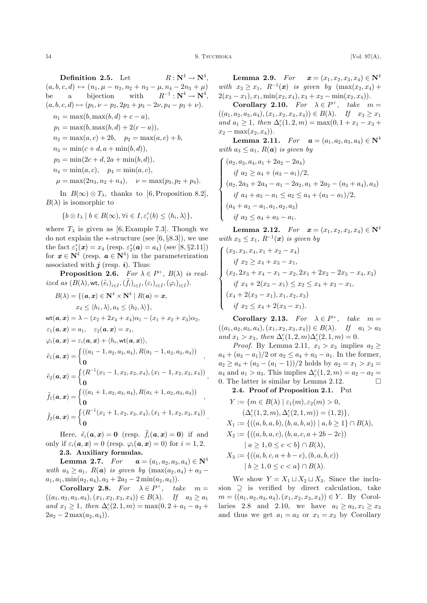;

:

Definition 2.5. Let  $R:\mathbf{N}^4\to\mathbf{N}^4$  $(a, b, c, d) \mapsto (n_1, \mu - n_2, n_2 + n_3 - \mu, n_4 - 2n_3 + \mu)$ be a bijection with  $^{1}:\mathbf{N}^{4}\rightarrow\mathbf{N}^{4},$  $(a, b, c, d) \mapsto (p_1, \nu - p_2, 2p_2 + p_3 - 2\nu, p_4 - p_3 + \nu).$  $n_1 = \max(b, \max(b, d) + c - a),$  $p_1 = \max(b, \max(b, d) + 2(c - a)),$  $n_2 = \max(a, c) + 2b, \quad p_2 = \max(a, c) + b,$  $n_3 = \min(c + d, a + \min(b, d)),$  $p_3 = \min(2c + d, 2a + \min(b, d)),$  $n_4 = \min(a, c), \quad p_4 = \min(a, c),$  $\mu = \max(2n_3, n_2 + n_4), \quad \nu = \max(p_3, p_2 + p_4).$ In  $B(\infty) \otimes T_{\lambda}$ , thanks to [6, Proposition 8.2],

 $B(\lambda)$  is isomorphic to

$$
\{b\otimes t_{\lambda}\mid b\in B(\infty), \forall i\in I, \varepsilon_i^*(b)\leq \langle h_i, \lambda\rangle\},\
$$

where  $T_{\lambda}$  is given as [6, Example 7.3]. Though we do not explain the  $*$ -structure (see [6, §8.3]), we use the fact  $\varepsilon_1^*(x) = x_4$  (resp.  $\varepsilon_2^*(a) = a_4$ ) (see [8, §2.11]) for  $x \in \mathbb{N}^4$  (resp.  $a \in \mathbb{N}^4$ ) in the parameterization associated with  $j$  (resp. i). Thus:

**Proposition 2.6.** For  $\lambda \in P^+$ ,  $B(\lambda)$  is realized as  $(B(\lambda), \mathsf{wt}, \left(\tilde{e}_i\right)_{i \in I}, \left(\tilde{f}_i\right)_{i \in I}, \left(\varepsilon_i\right)_{i \in I}, \left(\varphi_i\right)_{i \in I}).$ 

$$
B(\lambda) = \{ (\mathbf{a}, \mathbf{x}) \in \mathbb{N}^4 \times \mathbb{N}^4 \mid R(\mathbf{a}) = \mathbf{x},
$$
  
\n
$$
x_4 \le \langle h_1, \lambda \rangle, a_4 \le \langle h_2, \lambda \rangle \},
$$
  
\n
$$
\text{wt}(\mathbf{a}, \mathbf{x}) = \lambda - (x_2 + 2x_3 + x_4)\alpha_1 - (x_1 + x_2 + x_3)\alpha_2,
$$
  
\n
$$
\varepsilon_1(\mathbf{a}, \mathbf{x}) = a_1, \quad \varepsilon_2(\mathbf{a}, \mathbf{x}) = x_1,
$$
  
\n
$$
\varphi_i(\mathbf{a}, \mathbf{x}) = \varepsilon_i(\mathbf{a}, \mathbf{x}) + \langle h_i, \text{wt}(\mathbf{a}, \mathbf{x}) \rangle,
$$
  
\n
$$
\tilde{e}_1(\mathbf{a}, \mathbf{x}) = \begin{cases} ((a_1 - 1, a_2, a_3, a_4), R(a_1 - 1, a_2, a_3, a_4)) \\ 0 \end{cases},
$$
  
\n
$$
\tilde{e}_2(\mathbf{a}, \mathbf{x}) = \begin{cases} (R^{-1}(x_1 - 1, x_2, x_3, x_4), (x_1 - 1, x_2, x_3, x_4)) \\ 0 \end{cases},
$$
  
\n
$$
\tilde{f}_1(\mathbf{a}, \mathbf{x}) = \begin{cases} ((a_1 + 1, a_2, a_3, a_4), R(a_1 + 1, a_2, a_3, a_4)) \\ 0 \end{cases},
$$
  
\n
$$
\tilde{f}_2(\mathbf{a}, \mathbf{x}) = \begin{cases} (R^{-1}(x_1 + 1, x_2, x_3, x_4), (x_1 + 1, x_2, x_3, x_4)) \\ 0 \end{cases}
$$

Here,  $\tilde{e}_i(\mathbf{a}, \mathbf{x}) = \mathbf{0}$  (resp.  $\tilde{f}_i(\mathbf{a}, \mathbf{x}) = \mathbf{0}$ ) if and only if  $\varepsilon_i(\mathbf{a}, \mathbf{x}) = 0$  (resp.  $\varphi_i(\mathbf{a}, \mathbf{x}) = 0$ ) for  $i = 1, 2$ .

# 2.3. Auxiliary formulas.

**Lemma 2.7.** For  $a = (a_1, a_2, a_3, a_4) \in \mathbb{N}^4$ with  $a_3 \ge a_1$ ,  $R(a)$  is given by  $(\max(a_2, a_4) + a_3$  $a_1, a_1, \min(a_2, a_4), a_3 + 2a_2 - 2\min(a_2, a_4).$ 

Corollary 2.8. For  $\lambda \in P^+$ , take  $m =$  $((a_1, a_2, a_3, a_4), (x_1, x_2, x_3, x_4)) \in B(\lambda)$ . If  $a_3 \ge a_1$ and  $x_1 \geq 1$ , then  $\Delta_{\varepsilon}^e(2, 1, m) = \max(0, 2 + a_1 - a_3 + a_2)$  $2a_2 - 2 \max(a_2, a_4)$ .

**Lemma 2.9.** For  $x = (x_1, x_2, x_3, x_4) \in \mathbb{N}^4$ with  $x_3 \geq x_1$ ,  $R^{-1}(\mathbf{x})$  is given by  $(\max(x_2, x_4) +$  $2(x_3 - x_1), x_1, \min(x_2, x_4), x_3 + x_2 - \min(x_2, x_4)).$ 

Corollary 2.10. For  $\lambda \in P^+$ , take  $m =$  $((a_1, a_2, a_3, a_4), (x_1, x_2, x_3, x_4)) \in B(\lambda)$ . If  $x_3 \ge x_1$ and  $a_1 \geq 1$ , then  $\Delta_{\varepsilon}^e(1, 2, m) = \max(0, 1 + x_1 - x_3 +$  $x_2 - \max(x_2, x_4)$ .

**Lemma 2.11.** For  $a = (a_1, a_2, a_3, a_4) \in \mathbb{N}^4$ with  $a_3 \leq a_1$ ,  $R(a)$  is given by

$$
\begin{cases}\n(a_2, a_3, a_4, a_1 + 2a_2 - 2a_4) \nif a_2 \ge a_4 + (a_3 - a_1)/2, \n(a_2, 2a_3 + 2a_4 - a_1 - 2a_2, a_1 + 2a_2 - (a_3 + a_4), a_3) \nif a_4 + a_3 - a_1 \le a_2 \le a_4 + (a_3 - a_1)/2, \n(a_4 + a_3 - a_1, a_1, a_2, a_3) \nif a_2 \le a_4 + a_3 - a_1.\n\end{cases}
$$

**Lemma 2.12.** For  $x = (x_1, x_2, x_3, x_4) \in \mathbb{N}^4$ with  $x_3 \leq x_1$ ,  $R^{-1}(\mathbf{x})$  is given by

$$
\begin{cases}\n(x_2, x_3, x_4, x_1 + x_2 - x_4) \nif x_2 \ge x_4 + x_3 - x_1, \n(x_2, 2x_3 + x_4 - x_1 - x_2, 2x_1 + 2x_2 - 2x_3 - x_4, x_3) \nif x_4 + 2(x_3 - x_1) \le x_2 \le x_4 + x_3 - x_1, \n(x_4 + 2(x_3 - x_1), x_1, x_2, x_3) \nif x_2 \le x_4 + 2(x_3 - x_1).\n\end{cases}
$$

Corollary 2.13. For  $\lambda \in P^+$ , take  $m =$  $((a_1, a_2, a_3, a_4), (x_1, x_2, x_3, x_4)) \in B(\lambda)$ . If  $a_1 > a_3$ and  $x_1 > x_3$ , then  $\Delta_{\varepsilon}^e(1, 2, m) \Delta_{\varepsilon}^e(2, 1, m) = 0$ .

*Proof.* By Lemma 2.11,  $x_1 > x_3$  implies  $a_2 \geq$  $a_4 + (a_3 - a_1)/2$  or  $a_2 \le a_4 + a_3 - a_1$ . In the former,  $a_2 \ge a_4 + (a_3 - (a_1 - 1))/2$  holds by  $a_2 = x_1 > x_3 =$  $a_4$  and  $a_1 > a_3$ . This implies  $\Delta_{\varepsilon}^e(1, 2, m) = a_2 - a_2 =$ 0. The latter is similar by Lemma 2.12.  $\Box$ 

2.4. Proof of Proposition 2.1. Put

$$
Y := \{ m \in B(\lambda) \mid \varepsilon_1(m), \varepsilon_2(m) > 0, \n(\Delta^e_{\varepsilon}(1, 2, m), \Delta^e_{\varepsilon}(2, 1, m)) = (1, 2) \}, \nX_1 := \{ ((a, b, a, b), (b, a, b, a)) \mid a, b \ge 1 \} \cap B(\lambda), \nX_2 := \{ ((a, b, a, c), (b, a, c, a + 2b - 2c)) \n| a \ge 1, 0 \le c < b \} \cap B(\lambda), \nX_3 := \{ ((a, b, c, a + b - c), (b, a, b, c)) \n| b \ge 1, 0 \le c < a \} \cap B(\lambda).
$$

We show  $Y = X_1 \sqcup X_2 \sqcup X_3$ . Since the inclusion  $\supseteq$  is verified by direct calculation, take  $m = ((a_1, a_2, a_3, a_4), (x_1, x_2, x_3, x_4)) \in Y$ . By Corollaries 2.8 and 2.10, we have  $a_1 > a_3, x_1 > x_3$ and thus we get  $a_1 = a_3$  or  $x_1 = x_3$  by Corollary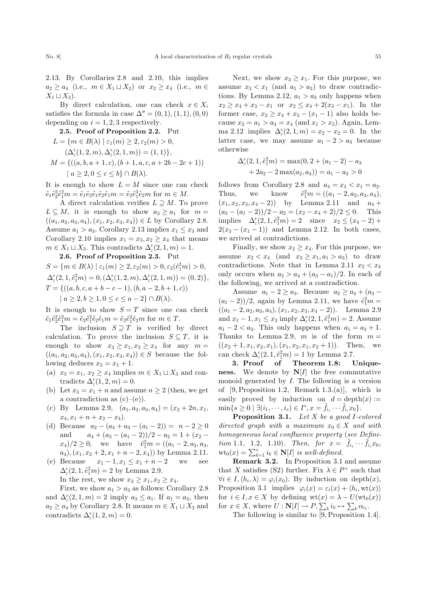2.13. By Corollaries 2.8 and 2.10, this implies  $a_2 \ge a_4$  (i.e.,  $m \in X_1 \sqcup X_2$ ) or  $x_2 \ge x_4$  (i.e.,  $m \in$  $X_1 \sqcup X_3$ ).

By direct calculation, one can check  $x \in X_i$ satisfies the formula in case  $\Delta'' = (0, 1), (1, 1), (0, 0)$ depending on  $i = 1, 2, 3$  respectively.

**2.5. Proof of Proposition 2.2.** Put  
\n
$$
L = \{ m \in B(\lambda) \mid \varepsilon_1(m) \ge 2, \varepsilon_2(m) > 0,
$$
\n
$$
(\Delta_{\varepsilon}^e(1,2,m), \Delta_{\varepsilon}^e(2,1,m)) = (1,1) \},
$$
\n
$$
M = \{ ((a, b, a + 1, c), (b + 1, a, c, a + 2b - 2c + 1)) \mid a \ge 2, 0 \le c \le b \} \cap B(\lambda).
$$

It is enough to show  $L = M$  since one can check  $\tilde{e}_1 \tilde{e}_2^2 \tilde{e}_1^2 m = \tilde{e}_1 \tilde{e}_2 \tilde{e}_1 \tilde{e}_2 \tilde{e}_1 m = \tilde{e}_2 \tilde{e}_1^3 \tilde{e}_2 m$  for  $m \in M$ .

A direct calculation verifies  $L \supseteq M$ . To prove  $L \subseteq M$ , it is enough to show  $a_3 \ge a_1$  for  $m =$  $((a_1, a_2, a_3, a_4), (x_1, x_2, x_3, x_4)) \in L$  by Corollary 2.8. Assume  $a_1 > a_3$ . Corollary 2.13 implies  $x_1 \leq x_3$  and Corollary 2.10 implies  $x_1 = x_3, x_2 \ge x_4$  that means  $m \in X_1 \sqcup X_3$ . This contradicts  $\Delta_{\varepsilon}^e(2, 1, m) = 1$ .

#### 2.6. Proof of Proposition 2.3. Put

 $S = \{m \in B(\lambda) \mid \varepsilon_1(m) \geq 2, \varepsilon_2(m) > 0, \varepsilon_2(\tilde{e}_1^2 m) > 0,$  $\Delta_{\varepsilon}^e(2,1,\tilde{e}_1^2m) = 0, (\Delta_{\varepsilon}^e(1,2,m), \Delta_{\varepsilon}^e(2,1,m)) = (0,2)\},$  $T = \{((a, b, c, a+b-c-1), (b, a-2, b+1, c))\}$  $| a \geq 2, b \geq 1, 0 \leq c \leq a-2 \} \cap B(\lambda).$ 

It is enough to show  $S = T$  since one can check  $\tilde{e}_1 \tilde{e}_2^2 \tilde{e}_1^2 m = \tilde{e}_2 \tilde{e}_1^2 \tilde{e}_2 \tilde{e}_1 m = \tilde{e}_2 \tilde{e}_1^3 \tilde{e}_2 m$  for  $m \in T$ .

The inclusion  $S \supseteq T$  is verified by direct calculation. To prove the inclusion  $S \subseteq T$ , it is enough to show  $x_3 \ge x_1, x_2 \ge x_4$  for any  $m =$  $((a_1, a_2, a_3, a_4), (x_1, x_2, x_3, x_4)) \in S$  because the following deduces  $x_3 = x_1 + 1$ .

- (a)  $x_3 = x_1, x_2 \ge x_4$  implies  $m \in X_1 \sqcup X_3$  and contradicts  $\Delta_{\varepsilon}^e(1,2,m) = 0.$
- (b) Let  $x_3 = x_1 + n$  and assume  $n \geq 2$  (then, we get a contradiction as  $(c)$ – $(e)$ ).
- (c) By Lemma 2.9,  $(a_1, a_2, a_3, a_4) = (x_2 + 2n, x_1, a_2, a_3, a_4)$  $x_4, x_1 + n + x_2 - x_4$ .
- (d) Because  $a_2 (a_4 + a_3 (a_1 2)) = n 2 \ge 0$ and  $a_4 + (a_3 - (a_1 - 2))/2 - a_2 = 1 + (x_2 (x_4)/2 \ge 0$ , we have  $\tilde{e}_1^2 m = ((a_1 - 2, a_2, a_3, a_4))$  $a_4$ ,  $(x_1, x_2 + 2, x_1 + n - 2, x_4)$  by Lemma 2.11.
- (e) Because  $x_1 1, x_1 \le x_1 + n 2$  we see  $\Delta_{\varepsilon}^e(2,1,\tilde{e}_1^2m)=2$  by Lemma 2.9. In the rest, we show  $x_3 \geq x_1, x_2 \geq x_4$ .

First, we show  $a_1 > a_3$  as follows: Corollary 2.8 and  $\Delta_{\varepsilon}^e(2,1,m) = 2$  imply  $a_3 \le a_1$ . If  $a_1 = a_3$ , then  $a_2 \ge a_4$  by Corollary 2.8. It means  $m \in X_1 \sqcup X_2$  and contradicts  $\Delta_{\varepsilon}^e(1,2,m) = 0.$ 

Next, we show  $x_3 \geq x_1$ . For this purpose, we assume  $x_3 < x_1$  (and  $a_1 > a_3$ ) to draw contradictions. By Lemma 2.12,  $a_1 > a_3$  only happens when  $x_2 \ge x_4 + x_3 - x_1$  or  $x_2 \le x_4 + 2(x_3 - x_1)$ . In the former case,  $x_2 \ge x_4 + x_3 - (x_1 - 1)$  also holds because  $x_2 = a_1 > a_3 = x_4$  (and  $x_1 > x_3$ ). Again, Lemma 2.12 implies  $\Delta_{\varepsilon}^e(2, 1, m) = x_2 - x_2 = 0$ . In the latter case, we may assume  $a_1 - 2 > a_3$  because otherwise

$$
\Delta_{\varepsilon}^{e}(2, 1, \tilde{e}_{1}^{2}m) = \max(0, 2 + (a_{1} - 2) - a_{3} + 2a_{2} - 2\max(a_{2}, a_{4})) = a_{1} - a_{3} > 0
$$

follows from Corollary 2.8 and  $a_4 = x_3 < x_1 = a_2$ . Thus, we know  $a_1^2m = ((a_1-2, a_2, a_3, a_4),$  $(x_1, x_2, x_3, x_4 - 2)$  by Lemma 2.11 and  $a_4 +$  $(a_3 - (a_1 - 2))/2 - a_2 = (x_2 - x_4 + 2)/2 \le 0.$  This implies  $\Delta_{\varepsilon}^{e}(2, 1, \tilde{e}_1^2 m) = 2$  since  $x_2 \le (x_4 - 2) +$  $2(x_3 - (x_1 - 1))$  and Lemma 2.12. In both cases, we arrived at contradictions.

Finally, we show  $x_2 \geq x_4$ . For this purpose, we assume  $x_2 < x_4$  (and  $x_3 \ge x_1, a_1 > a_3$ ) to draw contradictions. Note that in Lemma 2.11  $x_2 < x_4$ only occurs when  $a_2 > a_4 + (a_3 - a_1)/2$ . In each of the following, we arrived at a contradiction.

Assume  $a_1 - 2 \ge a_3$ . Because  $a_2 \ge a_4 + (a_3 (a_1 - 2)/2$ , again by Lemma 2.11, we have  $\tilde{e}_1^2 m =$  $((a_1 - 2, a_2, a_3, a_4), (x_1, x_2, x_3, x_4 - 2)).$  Lemma 2.9 and  $x_1 - 1, x_1 \le x_3$  imply  $\Delta_{\varepsilon}^e(2, 1, \tilde{e}_1^2 m) = 2$ . Assume  $a_1 - 2 < a_3$ . This only happens when  $a_1 = a_3 + 1$ . Thanks to Lemma 2.9, m is of the form  $m =$  $((x_2+1, x_1, x_2, x_1), (x_1, x_2, x_1, x_2 + 1)).$  Then, we can check  $\Delta_{\varepsilon}^e(2,1,\tilde{e}_1^2m) = 1$  by Lemma 2.7.

3. Proof of Theorem 1.8: Uniqueness. We denote by  $N[I]$  the free commutative monoid generated by I. The following is a version of  $[9,$  Proposition 1.2, Remark 1.3.(a)], which is easily proved by induction on  $d = \text{depth}(x) :=$  $\min\{s \geq 0 \mid \exists (i_1,\dots,i_s) \in I^s, x = \hat{f}_{i_1} \cdots \hat{f}_{i_s} x_0\}.$ 

Proposition 3.1. Let X be a good I-colored directed graph with a maximum  $x_0 \in X$  and with homogeneous local confluence property (see Definition 1.1, 1.2, 1.10). Then, for  $x = \tilde{f}_{i_1} \cdots \tilde{f}_{i_s} x_0$ , wto  $(x) = \sum_{k=1}^{s} i_k \in \mathbb{N}[I]$  is well-defined.

Remark 3.2. In Proposition 3.1 and assume that X satisfies (S2) further. Fix  $\lambda \in P^+$  such that  $\forall i \in I, \langle h_i, \lambda \rangle = \varphi_i(x_0)$ . By induction on depth $(x)$ , Proposition 3.1 implies  $\varphi_i(x) = \varepsilon_i(x) + \langle h_i, \text{wt}(x) \rangle$ for  $i \in I, x \in X$  by defining  $wt(x) = \lambda - U(wt_0(x))$ for  $x \in X$ , where  $U : \mathbb{N}[I] \to P$ ,  $\sum_k i_k \mapsto \sum_k \alpha_{i_k}$ .

The following is similar to [9, Proposition 1.4].